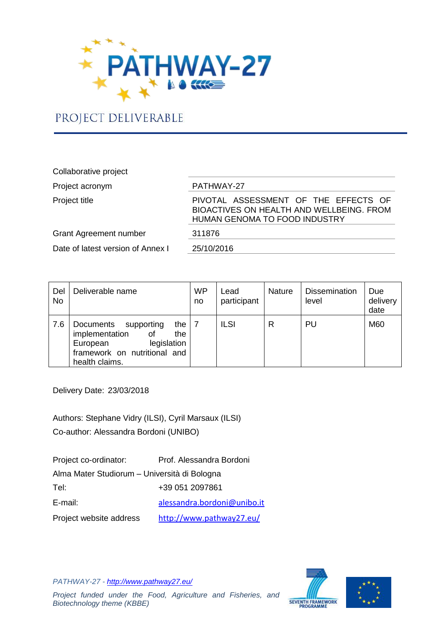

# PROJECT DELIVERABLE

## Collaborative project Project acronym PATHWAY-27 PIVOTAL ASSESSMENT OF THE EFFECTS OF BIOACTIVES ON HEALTH AND WELLBEING. FROM HUMAN GENOMA TO FOOD INDUSTRY Grant Agreement number 311876 Date of latest version of Annex I 25/10/2016

| Del<br><b>No</b> | Deliverable name                                                                                                                             | <b>WP</b><br>no | Lead<br>participant | <b>Nature</b> | <b>Dissemination</b><br>level | Due<br>delivery<br>date |
|------------------|----------------------------------------------------------------------------------------------------------------------------------------------|-----------------|---------------------|---------------|-------------------------------|-------------------------|
| 7.6              | Documents<br>the I<br>supporting<br>implementation<br>the<br>οf<br>legislation<br>European<br>framework on nutritional and<br>health claims. |                 | <b>ILSI</b>         | R             | PU                            | M60                     |

Delivery Date: 23/03/2018

Authors: Stephane Vidry (ILSI), Cyril Marsaux (ILSI) Co-author: Alessandra Bordoni (UNIBO)

| Project co-ordinator:                        | Prof. Alessandra Bordoni    |  |  |  |  |
|----------------------------------------------|-----------------------------|--|--|--|--|
| Alma Mater Studiorum - Università di Bologna |                             |  |  |  |  |
| Tel:                                         | +39 051 2097861             |  |  |  |  |
| E-mail:                                      | alessandra.bordoni@unibo.it |  |  |  |  |
| Project website address                      | http://www.pathway27.eu/    |  |  |  |  |

*PATHWAY-27 - <http://www.pathway27.eu/> Project funded under the Food, Agriculture and Fisheries, and Biotechnology theme (KBBE)*



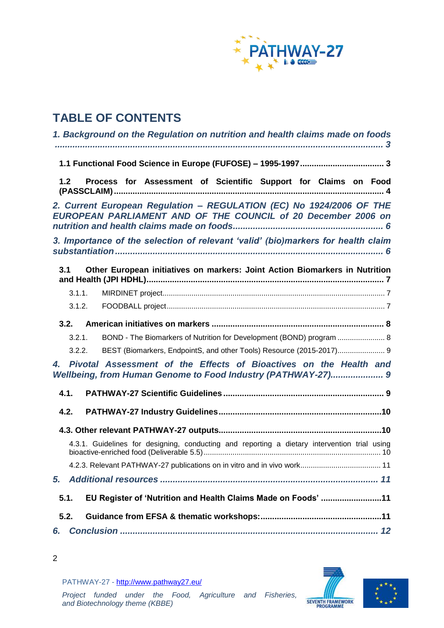

# **TABLE OF CONTENTS**

| 1. Background on the Regulation on nutrition and health claims made on foods                                                                          |
|-------------------------------------------------------------------------------------------------------------------------------------------------------|
|                                                                                                                                                       |
| Process for Assessment of Scientific Support for Claims on Food<br>1.2                                                                                |
| 2. Current European Regulation - REGULATION (EC) No 1924/2006 OF THE<br>EUROPEAN PARLIAMENT AND OF THE COUNCIL of 20 December 2006 on                 |
| 3. Importance of the selection of relevant 'valid' (bio)markers for health claim                                                                      |
| Other European initiatives on markers: Joint Action Biomarkers in Nutrition<br>3.1                                                                    |
| 3.1.1.                                                                                                                                                |
| 3.1.2.                                                                                                                                                |
|                                                                                                                                                       |
| BOND - The Biomarkers of Nutrition for Development (BOND) program  8<br>3.2.1.                                                                        |
| BEST (Biomarkers, EndpointS, and other Tools) Resource (2015-2017) 9<br>3.2.2.                                                                        |
| Pivotal Assessment of the Effects of Bioactives on the Health and<br>$\overline{4}$ .<br>Wellbeing, from Human Genome to Food Industry (PATHWAY-27) 9 |
| 4.1.                                                                                                                                                  |
| 4.2.                                                                                                                                                  |
|                                                                                                                                                       |
| 4.3.1. Guidelines for designing, conducting and reporting a dietary intervention trial using                                                          |
|                                                                                                                                                       |
| 5.                                                                                                                                                    |
| EU Register of 'Nutrition and Health Claims Made on Foods' 11<br>5.1.                                                                                 |
| 5.2.                                                                                                                                                  |
| 6.                                                                                                                                                    |





PATHWAY-27 - <http://www.pathway27.eu/>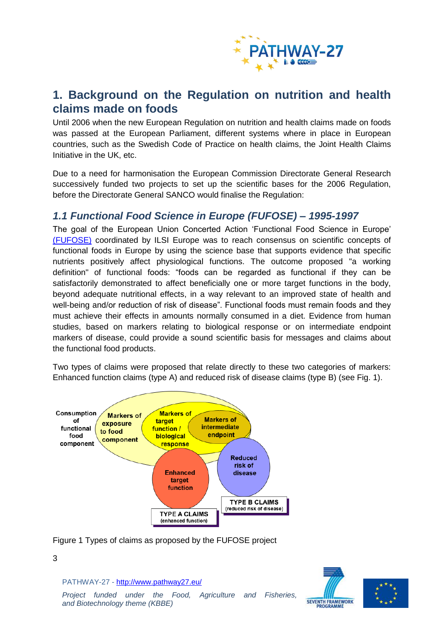

## <span id="page-2-0"></span>**1. Background on the Regulation on nutrition and health claims made on foods**

Until 2006 when the new European Regulation on nutrition and health claims made on foods was passed at the European Parliament, different systems where in place in European countries, such as the Swedish Code of Practice on health claims, the Joint Health Claims Initiative in the UK, etc.

Due to a need for harmonisation the European Commission Directorate General Research successively funded two projects to set up the scientific bases for the 2006 Regulation, before the Directorate General SANCO would finalise the Regulation:

### <span id="page-2-1"></span>*1.1 Functional Food Science in Europe (FUFOSE) – 1995-1997*

The goal of the European Union Concerted Action 'Functional Food Science in Europe' [\(FUFOSE\)](http://ilsi.eu/fufose/) coordinated by ILSI Europe was to reach consensus on scientific concepts of functional foods in Europe by using the science base that supports evidence that specific nutrients positively affect physiological functions. The outcome proposed "a working definition" of functional foods: "foods can be regarded as functional if they can be satisfactorily demonstrated to affect beneficially one or more target functions in the body, beyond adequate nutritional effects, in a way relevant to an improved state of health and well-being and/or reduction of risk of disease". Functional foods must remain foods and they must achieve their effects in amounts normally consumed in a diet. Evidence from human studies, based on markers relating to biological response or on intermediate endpoint markers of disease, could provide a sound scientific basis for messages and claims about the functional food products.

Two types of claims were proposed that relate directly to these two categories of markers: Enhanced function claims (type A) and reduced risk of disease claims (type B) (see Fig. 1).



Figure 1 Types of claims as proposed by the FUFOSE project

PATHWAY-27 - <http://www.pathway27.eu/>

**SEVENTH FRAMEWORK** PROGRAMME



#### 3

*Project funded under the Food, Agriculture and Fisheries, and Biotechnology theme (KBBE)*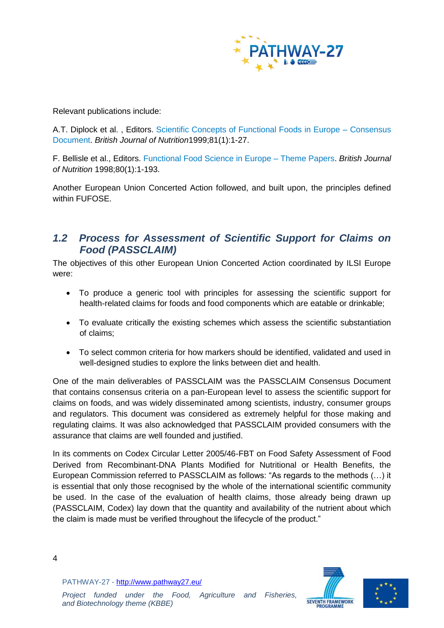

Relevant publications include:

A.T. Diplock et al. , Editors. [Scientific Concepts of Functional Foods in Europe –](http://ilsi.eu/publication/scientific-concepts-of-functional-foods-in-europe-consensus-document/) Consensus [Document.](http://ilsi.eu/publication/scientific-concepts-of-functional-foods-in-europe-consensus-document/) *British Journal of Nutrition*1999;81(1):1-27.

F. Bellisle et al., Editors. [Functional Food Science in Europe –](http://ilsi.eu/publication/functional-food-science-in-europe-theme-papers/) Theme Papers. *British Journal of Nutrition* 1998;80(1):1-193.

Another European Union Concerted Action followed, and built upon, the principles defined within FUFOSE.

### <span id="page-3-0"></span>*1.2 Process for Assessment of Scientific Support for Claims on Food (PASSCLAIM)*

The objectives of this other European Union Concerted Action coordinated by ILSI Europe were:

- To produce a generic tool with principles for assessing the scientific support for health-related claims for foods and food components which are eatable or drinkable;
- To evaluate critically the existing schemes which assess the scientific substantiation of claims;
- To select common criteria for how markers should be identified, validated and used in well-designed studies to explore the links between diet and health.

One of the main deliverables of PASSCLAIM was the PASSCLAIM Consensus Document that contains consensus criteria on a pan-European level to assess the scientific support for claims on foods, and was widely disseminated among scientists, industry, consumer groups and regulators. This document was considered as extremely helpful for those making and regulating claims. It was also acknowledged that PASSCLAIM provided consumers with the assurance that claims are well founded and justified.

In its comments on Codex Circular Letter 2005/46-FBT on Food Safety Assessment of Food Derived from Recombinant-DNA Plants Modified for Nutritional or Health Benefits, the European Commission referred to PASSCLAIM as follows: "As regards to the methods (…) it is essential that only those recognised by the whole of the international scientific community be used. In the case of the evaluation of health claims, those already being drawn up (PASSCLAIM, Codex) lay down that the quantity and availability of the nutrient about which the claim is made must be verified throughout the lifecycle of the product."



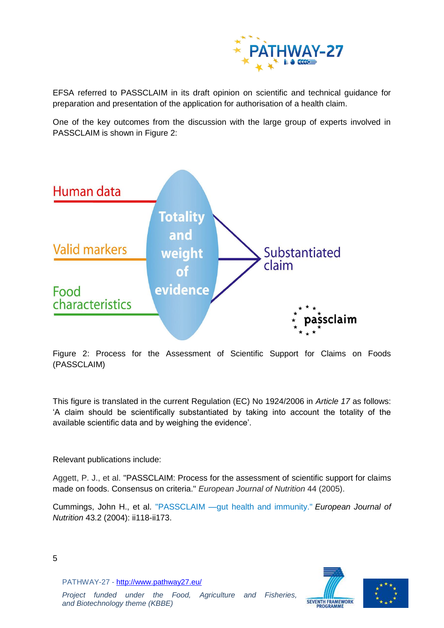

EFSA referred to PASSCLAIM in its draft opinion on scientific and technical guidance for preparation and presentation of the application for authorisation of a health claim.

One of the key outcomes from the discussion with the large group of experts involved in PASSCLAIM is shown in Figure 2:



Figure 2: Process for the Assessment of Scientific Support for Claims on Foods (PASSCLAIM)

This figure is translated in the current Regulation (EC) No 1924/2006 in *Article 17* as follows: 'A claim should be scientifically substantiated by taking into account the totality of the available scientific data and by weighing the evidence'.

Relevant publications include:

Aggett, P. J., et al. ["PASSCLAIM: Process for the assessment of scientific support for claims](http://ilsi.eu/wp-content/uploads/sites/3/2018/01/Aggett-et-al.pdf)  [made on foods. Consensus on criteria."](http://ilsi.eu/wp-content/uploads/sites/3/2018/01/Aggett-et-al.pdf) *European Journal of Nutrition* 44 (2005).

Cummings, John H., et al. ["PASSCLAIM —gut health and immunity."](https://link.springer.com/article/10.1007/s00394-004-1205-4) *European Journal of Nutrition* 43.2 (2004): ii118-ii173.





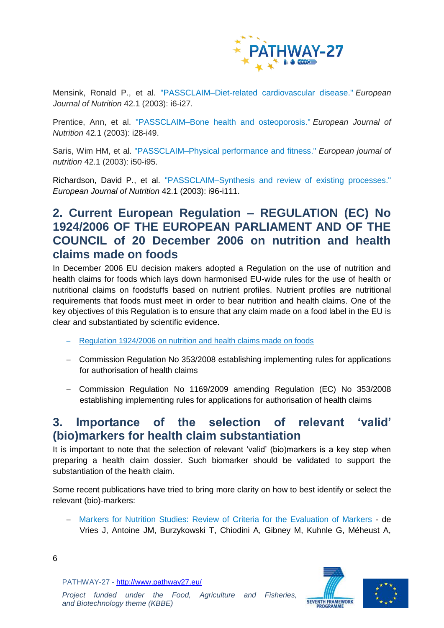

Mensink, Ronald P., et al. ["PASSCLAIM–Diet-related cardiovascular disease."](http://ilsi.eu/wp-content/uploads/sites/3/2018/01/Mensink-et-al.pdf) *European Journal of Nutrition* 42.1 (2003): i6-i27.

Prentice, Ann, et al. ["PASSCLAIM–Bone health and osteoporosis."](http://ilsi.eu/wp-content/uploads/sites/3/2018/01/Prentice-et-al.pdf) *European Journal of Nutrition* 42.1 (2003): i28-i49.

Saris, Wim HM, et al. ["PASSCLAIM–Physical performance and fitness."](http://ilsi.eu/wp-content/uploads/sites/3/2018/01/Saris-et-al.pdf) *European journal of nutrition* 42.1 (2003): i50-i95.

Richardson, David P., et al. ["PASSCLAIM–Synthesis and review of existing processes."](http://ilsi.eu/wp-content/uploads/sites/3/2018/01/Richardson-et-al.pdf) *European Journal of Nutrition* 42.1 (2003): i96-i111.

## <span id="page-5-0"></span>**2. Current European Regulation – REGULATION (EC) No 1924/2006 OF THE EUROPEAN PARLIAMENT AND OF THE COUNCIL of 20 December 2006 on nutrition and health claims made on foods**

In December 2006 EU decision makers adopted a Regulation on the use of nutrition and health claims for foods which lays down harmonised EU-wide rules for the use of health or nutritional claims on foodstuffs based on nutrient profiles. Nutrient profiles are nutritional requirements that foods must meet in order to bear nutrition and health claims. One of the key objectives of this Regulation is to ensure that any claim made on a food label in the EU is clear and substantiated by scientific evidence.

- [Regulation 1924/2006 on nutrition and health claims made on foods](http://eur-lex.europa.eu/legal-content/en/ALL/?uri=CELEX:32006R1924)
- [Commission Regulation No 353/2008 establishing implementing rules for applications](http://eur-lex.europa.eu/legal-content/EN/ALL/?uri=CELEX:32008R0353)  [for authorisation of health claims](http://eur-lex.europa.eu/legal-content/EN/ALL/?uri=CELEX:32008R0353)
- [Commission Regulation No 1169/2009 amending Regulation \(EC\) No 353/2008](http://eur-lex.europa.eu/legal-content/EN/ALL/?uri=CELEX:32009R1169)  [establishing implementing rules for applications for authorisation of health claims](http://eur-lex.europa.eu/legal-content/EN/ALL/?uri=CELEX:32009R1169)

## <span id="page-5-1"></span>**3. Importance of the selection of relevant 'valid' (bio)markers for health claim substantiation**

It is important to note that the selection of relevant 'valid' (bio)markers is a key step when preparing a health claim dossier. Such biomarker should be validated to support the substantiation of the health claim.

Some recent publications have tried to bring more clarity on how to best identify or select the relevant (bio)-markers:

 [Markers for Nutrition Studies: Review of Criteria for the Evaluation of Markers](http://ilsi.eu/publication/markers-for-nutrition-studies-review-of-criteria-for-the-evaluation-of-markers/) - de Vries J, Antoine JM, Burzykowski T, Chiodini A, Gibney M, Kuhnle G, Méheust A,

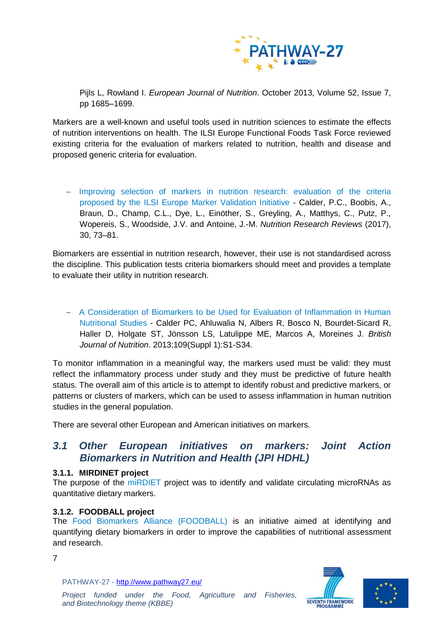

Pijls L, Rowland I. *European Journal of Nutrition*. October 2013, Volume 52, Issue 7, pp 1685–1699.

Markers are a well-known and useful tools used in nutrition sciences to estimate the effects of nutrition interventions on health. The ILSI Europe Functional Foods Task Force reviewed existing criteria for the evaluation of markers related to nutrition, health and disease and proposed generic criteria for evaluation.

- Improving selection of markers in nutrition research: evaluation of the criteria proposed by the ILSI [Europe Marker Validation Initiative](http://ilsi.eu/publication/improving-selection-of-markers-in-nutrition-research-evaluation-of-the-criteria-proposed-by-the-ilsi-europe-marker-validation-initiative/) - Calder, P.C., Boobis, A., Braun, D., Champ, C.L., Dye, L., Einöther, S., Greyling, A., Matthys, C., Putz, P., Wopereis, S., Woodside, J.V. and Antoine, J.-M. *Nutrition Research Reviews* (2017), 30, 73–81.

Biomarkers are essential in nutrition research, however, their use is not standardised across the discipline. This publication tests criteria biomarkers should meet and provides a template to evaluate their utility in nutrition research.

 [A Consideration of Biomarkers to be Used for Evaluation of Inflammation in Human](http://ilsi.eu/publication/a-consideration-of-biomarkers-to-be-used-for-evaluation-of-inflammation-in-human-nutritional-studies/)  [Nutritional Studies](http://ilsi.eu/publication/a-consideration-of-biomarkers-to-be-used-for-evaluation-of-inflammation-in-human-nutritional-studies/) - Calder PC, Ahluwalia N, Albers R, Bosco N, Bourdet-Sicard R, Haller D, Holgate ST, Jönsson LS, Latulippe ME, Marcos A, Moreines J. *British Journal of Nutrition*. 2013;109(Suppl 1):S1-S34.

To monitor inflammation in a meaningful way, the markers used must be valid: they must reflect the inflammatory process under study and they must be predictive of future health status. The overall aim of this article is to attempt to identify robust and predictive markers, or patterns or clusters of markers, which can be used to assess inflammation in human nutrition studies in the general population.

There are several other European and American initiatives on markers.

### <span id="page-6-0"></span>*3.1 Other European initiatives on markers: Joint Action Biomarkers in Nutrition and Health (JPI HDHL)*

#### <span id="page-6-1"></span>**3.1.1. MIRDINET project**

The purpose of the [miRDIET](http://cache.media.education.gouv.fr/file/Journee_HDHL/59/2/JPIHDLpresentationmirDIET_540592.pdf) project was to identify and validate circulating microRNAs as quantitative dietary markers.

#### <span id="page-6-2"></span>**3.1.2. FOODBALL project**

The [Food Biomarkers Alliance \(FOODBALL\)](http://foodmetabolome.org/) is an initiative aimed at identifying and quantifying dietary biomarkers in order to improve the capabilities of nutritional assessment and research.





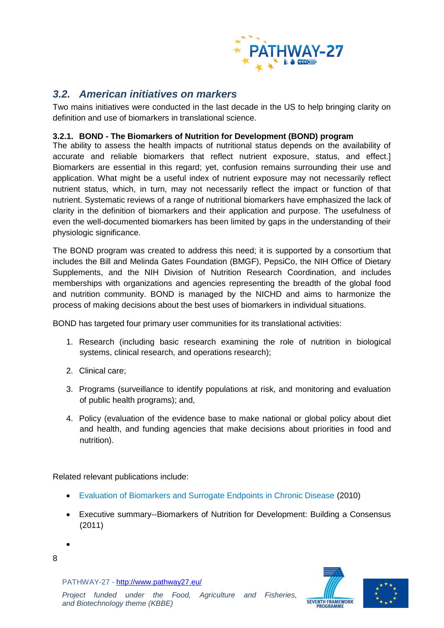

### <span id="page-7-0"></span>*3.2. American initiatives on markers*

Two mains initiatives were conducted in the last decade in the US to help bringing clarity on definition and use of biomarkers in translational science.

#### <span id="page-7-1"></span>**3.2.1. BOND - The Biomarkers of Nutrition for Development (BOND) program**

The ability to assess the health impacts of nutritional status depends on the availability of accurate and reliable biomarkers that reflect nutrient exposure, status, and effect.] Biomarkers are essential in this regard; yet, confusion remains surrounding their use and application. What might be a useful index of nutrient exposure may not necessarily reflect nutrient status, which, in turn, may not necessarily reflect the impact or function of that nutrient. Systematic reviews of a range of nutritional biomarkers have emphasized the lack of clarity in the definition of biomarkers and their application and purpose. The usefulness of even the well-documented biomarkers has been limited by gaps in the understanding of their physiologic significance.

The BOND program was created to address this need; it is supported by a consortium that includes the Bill and Melinda Gates Foundation (BMGF), PepsiCo, the NIH Office of Dietary Supplements, and the NIH Division of Nutrition Research Coordination, and includes memberships with organizations and agencies representing the breadth of the global food and nutrition community. BOND is managed by the NICHD and aims to harmonize the process of making decisions about the best uses of biomarkers in individual situations.

BOND has targeted four primary user communities for its translational activities:

- 1. Research (including basic research examining the role of nutrition in biological systems, clinical research, and operations research);
- 2. Clinical care;
- 3. Programs (surveillance to identify populations at risk, and monitoring and evaluation of public health programs); and,
- 4. Policy (evaluation of the evidence base to make national or global policy about diet and health, and funding agencies that make decisions about priorities in food and nutrition).

Related relevant publications include:

- [Evaluation of Biomarkers and Surrogate Endpoints in Chronic Disease](https://www.ncbi.nlm.nih.gov/books/NBK220297/) (2010)
- [Executive summary--Biomarkers of Nutrition for Development: Building a Consensus](https://www.ncbi.nlm.nih.gov/pubmed/21733880) (2011)
- 8

 $\bullet$ 



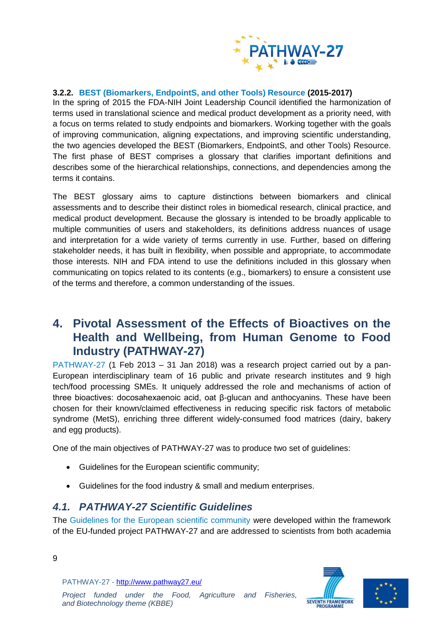

#### <span id="page-8-0"></span>**3.2.2. [BEST \(Biomarkers, EndpointS, and other Tools\) Resource](https://www.ncbi.nlm.nih.gov/books/NBK326791/) (2015-2017)**

In the spring of 2015 the FDA-NIH Joint Leadership Council identified the harmonization of terms used in translational science and medical product development as a priority need, with a focus on terms related to study endpoints and biomarkers. Working together with the goals of improving communication, aligning expectations, and improving scientific understanding, the two agencies developed the BEST (Biomarkers, EndpointS, and other Tools) Resource. The first phase of BEST comprises a glossary that clarifies important definitions and describes some of the hierarchical relationships, connections, and dependencies among the terms it contains.

The BEST glossary aims to capture distinctions between biomarkers and clinical assessments and to describe their distinct roles in biomedical research, clinical practice, and medical product development. Because the glossary is intended to be broadly applicable to multiple communities of users and stakeholders, its definitions address nuances of usage and interpretation for a wide variety of terms currently in use. Further, based on differing stakeholder needs, it has built in flexibility, when possible and appropriate, to accommodate those interests. NIH and FDA intend to use the definitions included in this glossary when communicating on topics related to its contents (e.g., biomarkers) to ensure a consistent use of the terms and therefore, a common understanding of the issues.

## <span id="page-8-1"></span>**4. Pivotal Assessment of the Effects of Bioactives on the Health and Wellbeing, from Human Genome to Food Industry (PATHWAY-27)**

[PATHWAY-27](http://www.pathway27.eu/) (1 Feb 2013 – 31 Jan 2018) was a research project carried out by a pan-European interdisciplinary team of 16 public and private research institutes and 9 high tech/food processing SMEs. It uniquely addressed the role and mechanisms of action of three bioactives: docosahexaenoic acid, oat β-glucan and anthocyanins. These have been chosen for their known/claimed effectiveness in reducing specific risk factors of metabolic syndrome (MetS), enriching three different widely-consumed food matrices (dairy, bakery and egg products).

One of the main objectives of PATHWAY-27 was to produce two set of guidelines:

- Guidelines for the European scientific community;
- Guidelines for the food industry & small and medium enterprises.

### <span id="page-8-2"></span>*4.1. PATHWAY-27 Scientific Guidelines*

The [Guidelines for the European scientific community](http://www.pathway27.eu/results/pathway-27-scientific-guidelines/) were developed within the framework of the EU-funded project PATHWAY-27 and are addressed to scientists from both academia



PATHWAY-27 - <http://www.pathway27.eu/>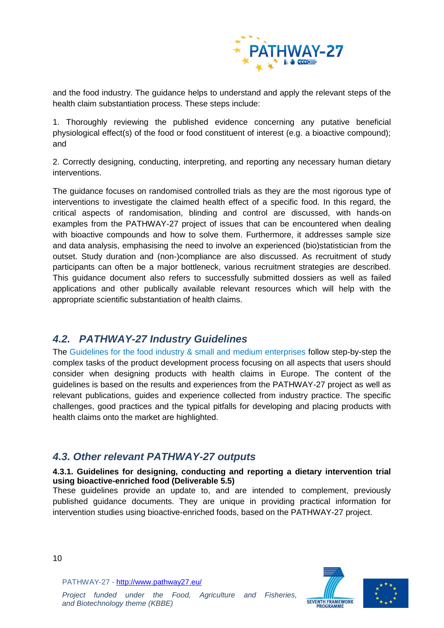

and the food industry. The guidance helps to understand and apply the relevant steps of the health claim substantiation process. These steps include:

1. Thoroughly reviewing the published evidence concerning any putative beneficial physiological effect(s) of the food or food constituent of interest (e.g. a bioactive compound); and

2. Correctly designing, conducting, interpreting, and reporting any necessary human dietary interventions.

The guidance focuses on randomised controlled trials as they are the most rigorous type of interventions to investigate the claimed health effect of a specific food. In this regard, the critical aspects of randomisation, blinding and control are discussed, with hands-on examples from the PATHWAY-27 project of issues that can be encountered when dealing with bioactive compounds and how to solve them. Furthermore, it addresses sample size and data analysis, emphasising the need to involve an experienced (bio)statistician from the outset. Study duration and (non-)compliance are also discussed. As recruitment of study participants can often be a major bottleneck, various recruitment strategies are described. This guidance document also refers to successfully submitted dossiers as well as failed applications and other publically available relevant resources which will help with the appropriate scientific substantiation of health claims.

## <span id="page-9-0"></span>*4.2. PATHWAY-27 Industry Guidelines*

The [Guidelines for the food industry & small and medium enterprises](http://www.pathway27.eu/results/pathway-27-industry-guidelines/) follow step-by-step the complex tasks of the product development process focusing on all aspects that users should consider when designing products with health claims in Europe. The content of the guidelines is based on the results and experiences from the PATHWAY-27 project as well as relevant publications, guides and experience collected from industry practice. The specific challenges, good practices and the typical pitfalls for developing and placing products with health claims onto the market are highlighted.

## <span id="page-9-1"></span>*4.3. Other relevant PATHWAY-27 outputs*

#### <span id="page-9-2"></span>**4.3.1. Guidelines for designing, conducting and reporting a dietary intervention trial using bioactive-enriched food (Deliverable 5.5)**

These guidelines provide an update to, and are intended to complement, previously published guidance documents. They are unique in providing practical information for intervention studies using bioactive-enriched foods, based on the PATHWAY-27 project.





10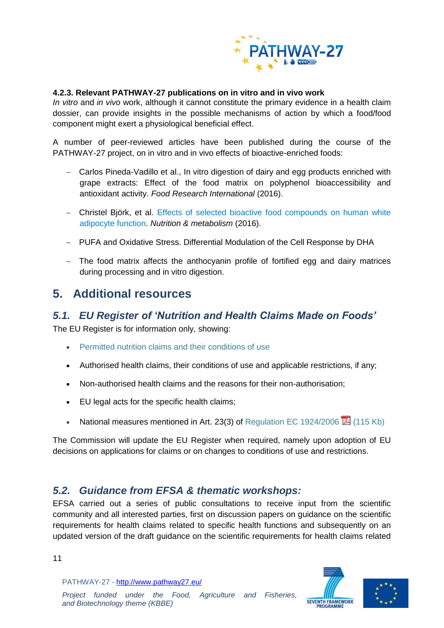

#### <span id="page-10-0"></span>**4.2.3. Relevant PATHWAY-27 publications on in vitro and in vivo work**

*In vitro* and *in vivo* work, although it cannot constitute the primary evidence in a health claim dossier, can provide insights in the possible mechanisms of action by which a food/food component might exert a physiological beneficial effect.

A number of peer-reviewed articles have been published during the course of the PATHWAY-27 project, on in vitro and in vivo effects of bioactive-enriched foods:

- Carlos Pineda-Vadillo et al., [In vitro digestion of dairy and egg products enriched with](https://www.sciencedirect.com/science/article/pii/S0963996916300308)  [grape extracts: Effect of the food matrix on polyphenol bioaccessibility and](https://www.sciencedirect.com/science/article/pii/S0963996916300308)  [antioxidant activity.](https://www.sciencedirect.com/science/article/pii/S0963996916300308) *Food Research International* (2016).
- Christel Björk, et al. [Effects of selected bioactive food compounds on human white](https://nutritionandmetabolism.biomedcentral.com/articles/10.1186/s12986-016-0064-3)  [adipocyte function.](https://nutritionandmetabolism.biomedcentral.com/articles/10.1186/s12986-016-0064-3) *Nutrition & metabolism* (2016).
- PUFA and Oxidative Stress. Differential Modulation of the Cell Response by DHA
- The food matrix affects the anthocyanin profile of fortified egg and dairy matrices during processing and in vitro digestion.

## <span id="page-10-1"></span>**5. Additional resources**

### <span id="page-10-2"></span>*5.1. EU Register of 'Nutrition and Health Claims Made on Foods'*

The EU Register is for information only, showing:

- [Permitted nutrition claims and their conditions of use](http://ec.europa.eu/food/food/labellingnutrition/claims/community_register/nutrition_claims_en.htm)
- Authorised health claims, their conditions of use and applicable restrictions, if any;
- Non-authorised health claims and the reasons for their non-authorisation;
- EU legal acts for the specific health claims;
- National measures mentioned in Art. 23(3) of [Regulation EC 1924/2006](http://eur-lex.europa.eu/LexUriServ/LexUriServ.do?uri=CONSLEG:2006R1924:20080304:EN:PDF)  $\overline{14}$  (115 Kb)

The Commission will update the EU Register when required, namely upon adoption of EU decisions on applications for claims or on changes to conditions of use and restrictions.

### <span id="page-10-3"></span>*5.2. Guidance from EFSA & thematic workshops:*

EFSA carried out a series of public consultations to receive input from the scientific community and all interested parties, first on discussion papers on guidance on the scientific requirements for health claims related to specific health functions and subsequently on an updated version of the draft guidance on the scientific requirements for health claims related

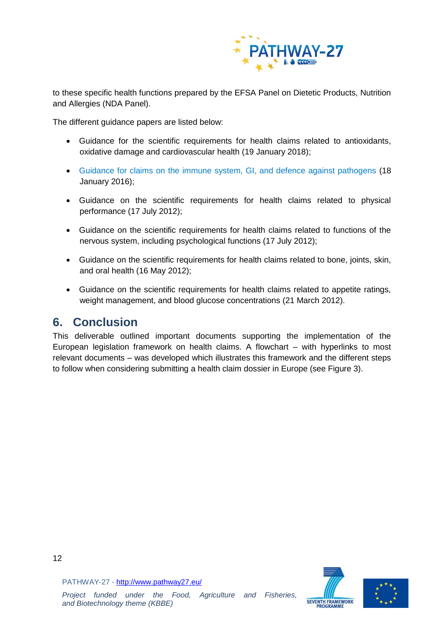

to these specific health functions prepared by the EFSA Panel on Dietetic Products, Nutrition and Allergies (NDA Panel).

The different guidance papers are listed below:

- [Guidance for the scientific requirements for health claims related to antioxidants,](http://www.efsa.europa.eu/en/efsajournal/pub/5136)  [oxidative damage and cardiovascular health](http://www.efsa.europa.eu/en/efsajournal/pub/5136) (19 January 2018);
- [Guidance for claims on the immune system, GI, and defence against pathogens](https://www.efsa.europa.eu/en/efsajournal/pub/4369) (18 January 2016);
- [Guidance on the scientific requirements for health claims related to physical](https://www.efsa.europa.eu/en/efsajournal/pub/2817)  [performance](https://www.efsa.europa.eu/en/efsajournal/pub/2817) (17 July 2012);
- [Guidance on the scientific requirements for health claims related to functions of the](https://www.efsa.europa.eu/en/efsajournal/pub/2816)  [nervous system, including psychological functions](https://www.efsa.europa.eu/en/efsajournal/pub/2816) (17 July 2012);
- [Guidance on the scientific requirements for](https://www.efsa.europa.eu/en/efsajournal/pub/2702) health claims related to bone, joints, skin, [and oral health](https://www.efsa.europa.eu/en/efsajournal/pub/2702) (16 May 2012);
- [Guidance on the scientific requirements for health claims related to appetite ratings,](https://www.efsa.europa.eu/en/efsajournal/pub/2604)  [weight management, and blood glucose concentrations](https://www.efsa.europa.eu/en/efsajournal/pub/2604) (21 March 2012).

## <span id="page-11-0"></span>**6. Conclusion**

This deliverable outlined important documents supporting the implementation of the European legislation framework on health claims. A flowchart – with hyperlinks to most relevant documents – was developed which illustrates this framework and the different steps to follow when considering submitting a health claim dossier in Europe (see Figure 3).